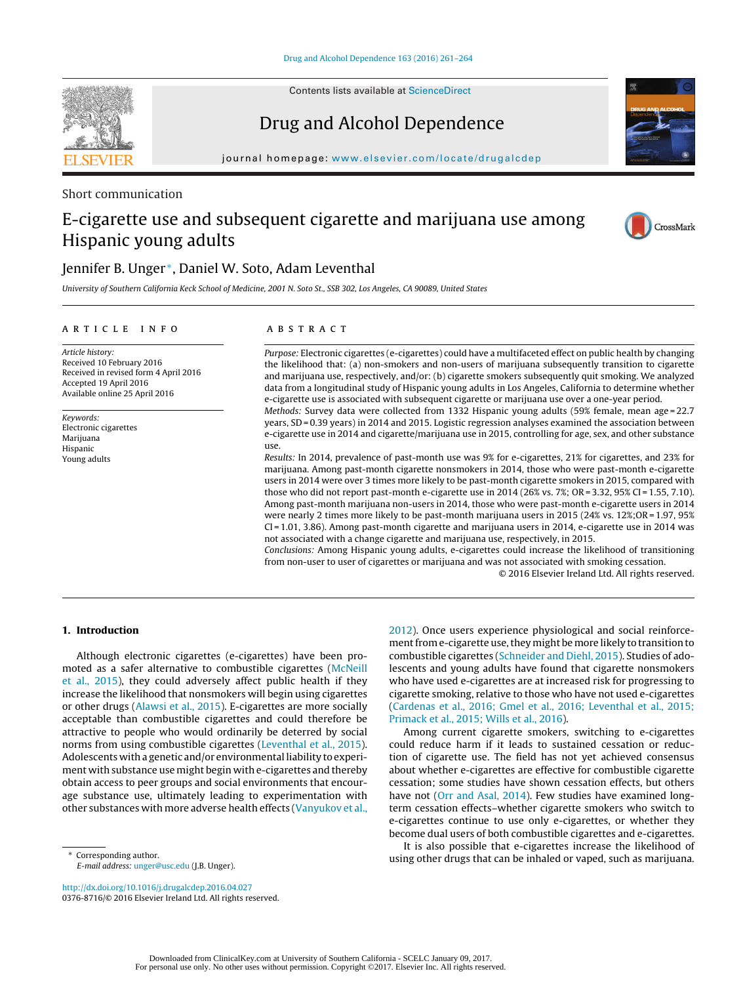

Contents lists available at [ScienceDirect](http://www.sciencedirect.com/science/journal/03768716)

# Drug and Alcohol Dependence



iournal homepage: [www.elsevier.com/locate/drugalcdep](http://www.elsevier.com/locate/drugalcdep)

Short communication

## E-cigarette use and subsequent cigarette and marijuana use among Hispanic young adults



## Jennifer B. Unger <sup>∗</sup>, Daniel W. Soto, Adam Leventhal

University of Southern California Keck School of Medicine, 2001 N. Soto St., SSB 302, Los Angeles, CA 90089, United States

## ARTICLE INFO

Article history: Received 10 February 2016 Received in revised form 4 April 2016 Accepted 19 April 2016 Available online 25 April 2016

Keywords: Electronic cigarettes Marijuana Hispanic Young adults

## A B S T R A C T

Purpose: Electronic cigarettes (e-cigarettes) could have a multifaceted effect on public health by changing the likelihood that: (a) non-smokers and non-users of marijuana subsequently transition to cigarette and marijuana use, respectively, and/or: (b) cigarette smokers subsequently quit smoking. We analyzed data from a longitudinal study of Hispanic young adults in Los Angeles, California to determine whether e-cigarette use is associated with subsequent cigarette or marijuana use over a one-year period.

Methods: Survey data were collected from 1332 Hispanic young adults (59% female, mean age = 22.7 years, SD = 0.39 years) in 2014 and 2015. Logistic regression analyses examined the association between e-cigarette use in 2014 and cigarette/marijuana use in 2015, controlling for age, sex, and other substance use.

Results: In 2014, prevalence of past-month use was 9% for e-cigarettes, 21% for cigarettes, and 23% for marijuana. Among past-month cigarette nonsmokers in 2014, those who were past-month e-cigarette users in 2014 were over 3 times more likely to be past-month cigarette smokers in 2015, compared with those who did not report past-month e-cigarette use in 2014 (26% vs. 7%; OR = 3.32, 95% CI = 1.55, 7.10). Among past-month marijuana non-users in 2014, those who were past-month e-cigarette users in 2014 were nearly 2 times more likely to be past-month marijuana users in 2015 (24% vs. 12%;OR = 1.97, 95% CI = 1.01, 3.86). Among past-month cigarette and marijuana users in 2014, e-cigarette use in 2014 was not associated with a change cigarette and marijuana use, respectively, in 2015.

Conclusions: Among Hispanic young adults, e-cigarettes could increase the likelihood of transitioning from non-user to user of cigarettes or marijuana and was not associated with smoking cessation.

© 2016 Elsevier Ireland Ltd. All rights reserved.

## **1. Introduction**

Although electronic cigarettes (e-cigarettes) have been promoted as a safer alternative to combustible cigarettes ([McNeill](#page-3-0) et [al.,](#page-3-0) [2015\),](#page-3-0) they could adversely affect public health if they increase the likelihood that nonsmokers will begin using cigarettes or other drugs [\(Alawsi](#page-3-0) et [al.,](#page-3-0) [2015\).](#page-3-0) E-cigarettes are more socially acceptable than combustible cigarettes and could therefore be attractive to people who would ordinarily be deterred by social norms from using combustible cigarettes ([Leventhal](#page-3-0) et [al.,](#page-3-0) [2015\).](#page-3-0) Adolescents with a genetic and/or environmental liability to experiment with substance use might begin with e-cigarettes and thereby obtain access to peer groups and social environments that encourage substance use, ultimately leading to experimentation with other substances with more adverse health effects [\(Vanyukov](#page-3-0) et [al.,](#page-3-0)

∗ Corresponding author. E-mail address: [unger@usc.edu](mailto:unger@usc.edu) (J.B. Unger).

[http://dx.doi.org/10.1016/j.drugalcdep.2016.04.027](dx.doi.org/10.1016/j.drugalcdep.2016.04.027) 0376-8716/© 2016 Elsevier Ireland Ltd. All rights reserved. [2012\).](#page-3-0) Once users experience physiological and social reinforcement from e-cigarette use, they might be more likely to transition to combustible cigarettes ([Schneider](#page-3-0) [and](#page-3-0) [Diehl,](#page-3-0) [2015\).](#page-3-0) Studies of adolescents and young adults have found that cigarette nonsmokers who have used e-cigarettes are at increased risk for progressing to cigarette smoking, relative to those who have not used e-cigarettes [\(Cardenas](#page-3-0) et [al.,](#page-3-0) [2016;](#page-3-0) [Gmel](#page-3-0) et [al.,](#page-3-0) [2016;](#page-3-0) [Leventhal](#page-3-0) et [al.,](#page-3-0) [2015;](#page-3-0) [Primack](#page-3-0) et [al.,](#page-3-0) [2015;](#page-3-0) [Wills](#page-3-0) et [al.,](#page-3-0) [2016\).](#page-3-0)

Among current cigarette smokers, switching to e-cigarettes could reduce harm if it leads to sustained cessation or reduction of cigarette use. The field has not yet achieved consensus about whether e-cigarettes are effective for combustible cigarette cessation; some studies have shown cessation effects, but others have not [\(Orr](#page-3-0) [and](#page-3-0) [Asal,](#page-3-0) [2014\).](#page-3-0) Few studies have examined longterm cessation effects–whether cigarette smokers who switch to e-cigarettes continue to use only e-cigarettes, or whether they become dual users of both combustible cigarettes and e-cigarettes.

It is also possible that e-cigarettes increase the likelihood of using other drugs that can be inhaled or vaped, such as marijuana.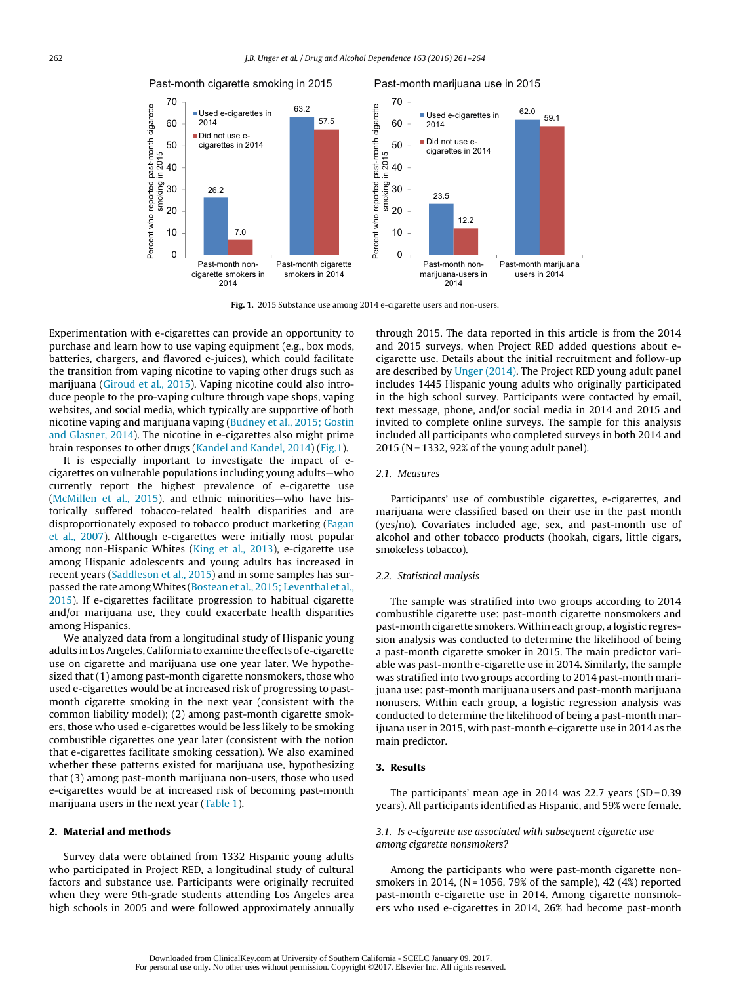

**Fig. 1.** 2015 Substance use among 2014 e-cigarette users and non-users.

Experimentation with e-cigarettes can provide an opportunity to purchase and learn how to use vaping equipment (e.g., box mods, batteries, chargers, and flavored e-juices), which could facilitate the transition from vaping nicotine to vaping other drugs such as marijuana ([Giroud](#page-3-0) et [al.,](#page-3-0) [2015\).](#page-3-0) Vaping nicotine could also introduce people to the pro-vaping culture through vape shops, vaping websites, and social media, which typically are supportive of both nicotine vaping and marijuana vaping [\(Budney](#page-3-0) et [al.,](#page-3-0) [2015;](#page-3-0) [Gostin](#page-3-0) [and](#page-3-0) [Glasner,](#page-3-0) [2014\).](#page-3-0) The nicotine in e-cigarettes also might prime brain responses to other drugs [\(Kandel](#page-3-0) [and](#page-3-0) [Kandel,](#page-3-0) [2014\)](#page-3-0) (Fig.1).

It is especially important to investigate the impact of ecigarettes on vulnerable populations including young adults—who currently report the highest prevalence of e-cigarette use ([McMillen](#page-3-0) et [al.,](#page-3-0) [2015\),](#page-3-0) and ethnic minorities—who have historically suffered tobacco-related health disparities and are disproportionately exposed to tobacco product marketing [\(Fagan](#page-3-0) et [al.,](#page-3-0) [2007\).](#page-3-0) Although e-cigarettes were initially most popular among non-Hispanic Whites ([King](#page-3-0) et [al.,](#page-3-0) [2013\),](#page-3-0) e-cigarette use among Hispanic adolescents and young adults has increased in recent years ([Saddleson](#page-3-0) et [al.,](#page-3-0) [2015\)](#page-3-0) and in some samples has surpassed the rate amongWhites [\(Bostean](#page-3-0) et [al.,](#page-3-0) [2015;](#page-3-0) [Leventhal](#page-3-0) et [al.,](#page-3-0) [2015\).](#page-3-0) If e-cigarettes facilitate progression to habitual cigarette and/or marijuana use, they could exacerbate health disparities among Hispanics.

We analyzed data from a longitudinal study of Hispanic young adults in Los Angeles, California to examine the effects of e-cigarette use on cigarette and marijuana use one year later. We hypothesized that (1) among past-month cigarette nonsmokers, those who used e-cigarettes would be at increased risk of progressing to pastmonth cigarette smoking in the next year (consistent with the common liability model); (2) among past-month cigarette smokers, those who used e-cigarettes would be less likely to be smoking combustible cigarettes one year later (consistent with the notion that e-cigarettes facilitate smoking cessation). We also examined whether these patterns existed for marijuana use, hypothesizing that (3) among past-month marijuana non-users, those who used e-cigarettes would be at increased risk of becoming past-month marijuana users in the next year [\(Table](#page-2-0) 1).

#### **2. Material and methods**

Survey data were obtained from 1332 Hispanic young adults who participated in Project RED, a longitudinal study of cultural factors and substance use. Participants were originally recruited when they were 9th-grade students attending Los Angeles area high schools in 2005 and were followed approximately annually through 2015. The data reported in this article is from the 2014 and 2015 surveys, when Project RED added questions about ecigarette use. Details about the initial recruitment and follow-up are described by [Unger](#page-3-0) [\(2014\).](#page-3-0) The Project RED young adult panel includes 1445 Hispanic young adults who originally participated in the high school survey. Participants were contacted by email, text message, phone, and/or social media in 2014 and 2015 and invited to complete online surveys. The sample for this analysis included all participants who completed surveys in both 2014 and 2015 (N = 1332, 92% of the young adult panel).

#### 2.1 Measures

Participants' use of combustible cigarettes, e-cigarettes, and marijuana were classified based on their use in the past month (yes/no). Covariates included age, sex, and past-month use of alcohol and other tobacco products (hookah, cigars, little cigars, smokeless tobacco).

#### 2.2. Statistical analysis

The sample was stratified into two groups according to 2014 combustible cigarette use: past-month cigarette nonsmokers and past-month cigarette smokers.Within each group, a logistic regression analysis was conducted to determine the likelihood of being a past-month cigarette smoker in 2015. The main predictor variable was past-month e-cigarette use in 2014. Similarly, the sample was stratified into two groups according to 2014 past-month marijuana use: past-month marijuana users and past-month marijuana nonusers. Within each group, a logistic regression analysis was conducted to determine the likelihood of being a past-month marijuana user in 2015, with past-month e-cigarette use in 2014 as the main predictor.

## **3. Results**

The participants' mean age in 2014 was 22.7 years  $(SD = 0.39)$ years). All participants identified as Hispanic, and 59% were female.

## 3.1. Is e-cigarette use associated with subsequent cigarette use among cigarette nonsmokers?

Among the participants who were past-month cigarette nonsmokers in 2014, (N = 1056, 79% of the sample), 42 (4%) reported past-month e-cigarette use in 2014. Among cigarette nonsmokers who used e-cigarettes in 2014, 26% had become past-month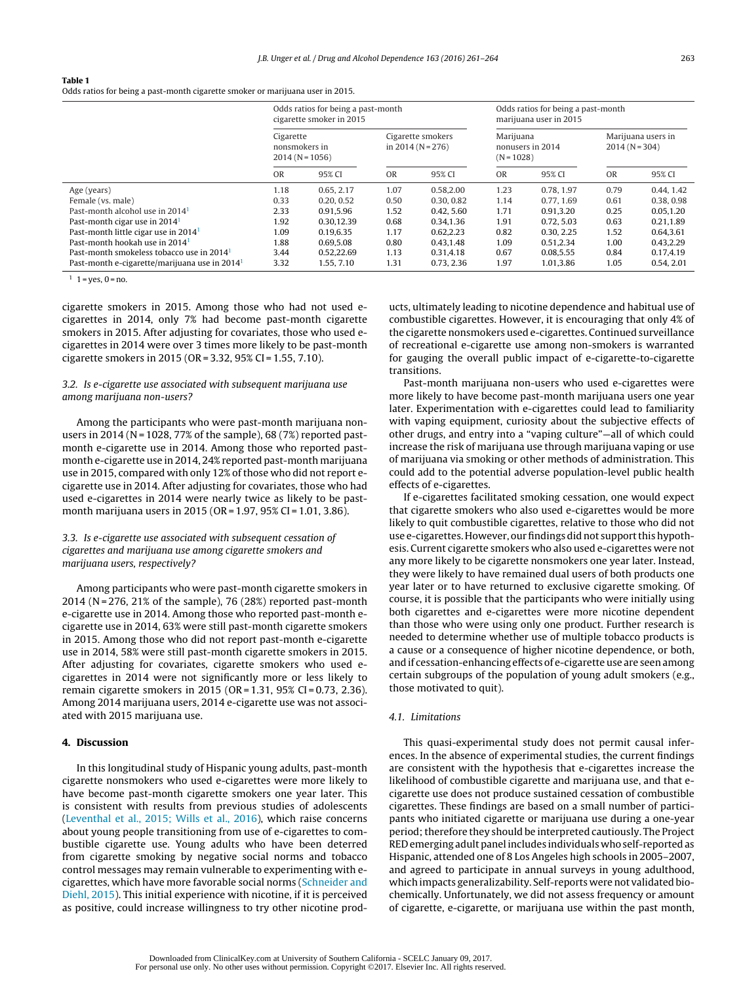#### <span id="page-2-0"></span>**Table 1**

Odds ratios for being a past-month cigarette smoker or marijuana user in 2015.

|                                                           | Odds ratios for being a past-month<br>cigarette smoker in 2015 |            |                                         |            | Odds ratios for being a past-month<br>marijuana user in 2015 |            |                                     |            |
|-----------------------------------------------------------|----------------------------------------------------------------|------------|-----------------------------------------|------------|--------------------------------------------------------------|------------|-------------------------------------|------------|
|                                                           | Cigarette<br>nonsmokers in<br>$2014(N = 1056)$                 |            | Cigarette smokers<br>in $2014(N = 276)$ |            | Marijuana<br>nonusers in 2014<br>$(N = 1028)$                |            | Marijuana users in<br>$2014(N=304)$ |            |
|                                                           | <b>OR</b>                                                      | 95% CI     | <b>OR</b>                               | 95% CI     | <b>OR</b>                                                    | 95% CI     | <b>OR</b>                           | 95% CI     |
| Age (years)                                               | 1.18                                                           | 0.65, 2.17 | 1.07                                    | 0.58.2.00  | 1.23                                                         | 0.78, 1.97 | 0.79                                | 0.44, 1.42 |
| Female (vs. male)                                         | 0.33                                                           | 0.20, 0.52 | 0.50                                    | 0.30, 0.82 | 1.14                                                         | 0.77, 1.69 | 0.61                                | 0.38, 0.98 |
| Past-month alcohol use in 2014 <sup>1</sup>               | 2.33                                                           | 0.91.5.96  | 1.52                                    | 0.42, 5.60 | 1.71                                                         | 0.91.3.20  | 0.25                                | 0.05.1.20  |
| Past-month cigar use in 2014 <sup>1</sup>                 | 1.92                                                           | 0.30.12.39 | 0.68                                    | 0.34.1.36  | 1.91                                                         | 0.72, 5.03 | 0.63                                | 0.21,1.89  |
| Past-month little cigar use in 2014 <sup>1</sup>          | 1.09                                                           | 0.19.6.35  | 1.17                                    | 0.62.2.23  | 0.82                                                         | 0.30, 2.25 | 1.52                                | 0.64.3.61  |
| Past-month hookah use in 2014 <sup>1</sup>                | 1.88                                                           | 0.69,5.08  | 0.80                                    | 0.43,1.48  | 1.09                                                         | 0.51.2.34  | 1.00                                | 0.43,2.29  |
| Past-month smokeless tobacco use in 2014 <sup>1</sup>     | 3.44                                                           | 0.52.22.69 | 1.13                                    | 0.31.4.18  | 0.67                                                         | 0.08.5.55  | 0.84                                | 0.17.4.19  |
| Past-month e-cigarette/marijuana use in 2014 <sup>1</sup> | 3.32                                                           | 1.55, 7.10 | 1.31                                    | 0.73, 2.36 | 1.97                                                         | 1.01.3.86  | 1.05                                | 0.54, 2.01 |

 $1 + \text{yes}, 0 = \text{no}.$ 

cigarette smokers in 2015. Among those who had not used ecigarettes in 2014, only 7% had become past-month cigarette smokers in 2015. After adjusting for covariates, those who used ecigarettes in 2014 were over 3 times more likely to be past-month cigarette smokers in 2015 (OR = 3.32, 95% CI = 1.55, 7.10).

## 3.2. Is e-cigarette use associated with subsequent marijuana use among marijuana non-users?

Among the participants who were past-month marijuana nonusers in 2014 ( $N = 1028$ , 77% of the sample), 68 (7%) reported pastmonth e-cigarette use in 2014. Among those who reported pastmonth e-cigarette use in 2014, 24% reported past-month marijuana use in 2015, compared with only 12% of those who did not report ecigarette use in 2014. After adjusting for covariates, those who had used e-cigarettes in 2014 were nearly twice as likely to be pastmonth marijuana users in 2015 (OR = 1.97, 95% CI = 1.01, 3.86).

## 3.3. Is e-cigarette use associated with subsequent cessation of cigarettes and marijuana use among cigarette smokers and marijuana users, respectively?

Among participants who were past-month cigarette smokers in 2014 (N = 276, 21% of the sample), 76 (28%) reported past-month e-cigarette use in 2014. Among those who reported past-month ecigarette use in 2014, 63% were still past-month cigarette smokers in 2015. Among those who did not report past-month e-cigarette use in 2014, 58% were still past-month cigarette smokers in 2015. After adjusting for covariates, cigarette smokers who used ecigarettes in 2014 were not significantly more or less likely to remain cigarette smokers in 2015 (OR = 1.31, 95% CI = 0.73, 2.36). Among 2014 marijuana users, 2014 e-cigarette use was not associated with 2015 marijuana use.

### **4. Discussion**

In this longitudinal study of Hispanic young adults, past-month cigarette nonsmokers who used e-cigarettes were more likely to have become past-month cigarette smokers one year later. This is consistent with results from previous studies of adolescents ([Leventhal](#page-3-0) et [al.,](#page-3-0) [2015;](#page-3-0) [Wills](#page-3-0) et [al.,](#page-3-0) [2016\),](#page-3-0) which raise concerns about young people transitioning from use of e-cigarettes to combustible cigarette use. Young adults who have been deterred from cigarette smoking by negative social norms and tobacco control messages may remain vulnerable to experimenting with ecigarettes, which have more favorable social norms [\(Schneider](#page-3-0) [and](#page-3-0) [Diehl,](#page-3-0) [2015\).](#page-3-0) This initial experience with nicotine, if it is perceived as positive, could increase willingness to try other nicotine products, ultimately leading to nicotine dependence and habitual use of combustible cigarettes. However, it is encouraging that only 4% of the cigarette nonsmokers used e-cigarettes. Continued surveillance of recreational e-cigarette use among non-smokers is warranted for gauging the overall public impact of e-cigarette-to-cigarette transitions.

Past-month marijuana non-users who used e-cigarettes were more likely to have become past-month marijuana users one year later. Experimentation with e-cigarettes could lead to familiarity with vaping equipment, curiosity about the subjective effects of other drugs, and entry into a "vaping culture"—all of which could increase the risk of marijuana use through marijuana vaping or use of marijuana via smoking or other methods of administration. This could add to the potential adverse population-level public health effects of e-cigarettes.

If e-cigarettes facilitated smoking cessation, one would expect that cigarette smokers who also used e-cigarettes would be more likely to quit combustible cigarettes, relative to those who did not use e-cigarettes. However, our findings didnot support this hypothesis. Current cigarette smokers who also used e-cigarettes were not any more likely to be cigarette nonsmokers one year later. Instead, they were likely to have remained dual users of both products one year later or to have returned to exclusive cigarette smoking. Of course, it is possible that the participants who were initially using both cigarettes and e-cigarettes were more nicotine dependent than those who were using only one product. Further research is needed to determine whether use of multiple tobacco products is a cause or a consequence of higher nicotine dependence, or both, and if cessation-enhancing effects of e-cigarette use are seen among certain subgroups of the population of young adult smokers (e.g., those motivated to quit).

#### 4.1. Limitations

This quasi-experimental study does not permit causal inferences. In the absence of experimental studies, the current findings are consistent with the hypothesis that e-cigarettes increase the likelihood of combustible cigarette and marijuana use, and that ecigarette use does not produce sustained cessation of combustible cigarettes. These findings are based on a small number of participants who initiated cigarette or marijuana use during a one-year period; therefore they should be interpreted cautiously. The Project RED emerging adult panel includes individuals who self-reported as Hispanic, attended one of 8 Los Angeles high schools in 2005–2007, and agreed to participate in annual surveys in young adulthood, which impacts generalizability. Self-reports were not validated biochemically. Unfortunately, we did not assess frequency or amount of cigarette, e-cigarette, or marijuana use within the past month,